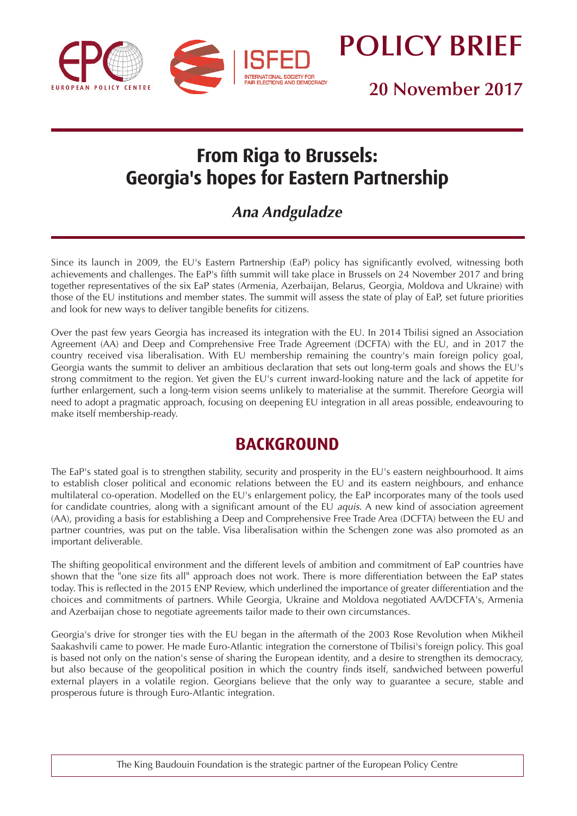

**POLICY BRIEF**

**20 November 2017**

# **From Riga to Brussels: Georgia's hopes for Eastern Partnership**

## **Ana Andguladze**

Since its launch in 2009, the EU's Eastern Partnership (EaP) policy has significantly evolved, witnessing both achievements and challenges. The EaP's fifth summit will take place in Brussels on 24 November 2017 and bring together representatives of the six EaP states (Armenia, Azerbaijan, Belarus, Georgia, Moldova and Ukraine) with those of the EU institutions and member states. The summit will assess the state of play of EaP, set future priorities and look for new ways to deliver tangible benefits for citizens.

Over the past few years Georgia has increased its integration with the EU. In 2014 Tbilisi signed an Association Agreement (AA) and Deep and Comprehensive Free Trade Agreement (DCFTA) with the EU, and in 2017 the country received visa liberalisation. With EU membership remaining the country's main foreign policy goal, Georgia wants the summit to deliver an ambitious declaration that sets out long-term goals and shows the EU's strong commitment to the region. Yet given the EU's current inward-looking nature and the lack of appetite for further enlargement, such a long-term vision seems unlikely to materialise at the summit. Therefore Georgia will need to adopt a pragmatic approach, focusing on deepening EU integration in all areas possible, endeavouring to make itself membership-ready.

## **BACKGROUND**

The EaP's stated goal is to strengthen stability, security and prosperity in the EU's eastern neighbourhood. It aims to establish closer political and economic relations between the EU and its eastern neighbours, and enhance multilateral co-operation. Modelled on the EU's enlargement policy, the EaP incorporates many of the tools used for candidate countries, along with a significant amount of the EU aquis. A new kind of association agreement (AA), providing a basis for establishing a Deep and Comprehensive Free Trade Area (DCFTA) between the EU and partner countries, was put on the table. Visa liberalisation within the Schengen zone was also promoted as an important deliverable.

The shifting geopolitical environment and the different levels of ambition and commitment of EaP countries have shown that the "one size fits all" approach does not work. There is more differentiation between the EaP states today. This is reflected in the 2015 ENP Review, which underlined the importance of greater differentiation and the choices and commitments of partners. While Georgia, Ukraine and Moldova negotiated AA/DCFTA's, Armenia and Azerbaijan chose to negotiate agreements tailor made to their own circumstances.

Georgia's drive for stronger ties with the EU began in the aftermath of the 2003 Rose Revolution when Mikheil Saakashvili came to power. He made Euro-Atlantic integration the cornerstone of Tbilisi's foreign policy. This goal is based not only on the nation's sense of sharing the European identity, and a desire to strengthen its democracy, but also because of the geopolitical position in which the country finds itself, sandwiched between powerful external players in a volatile region. Georgians believe that the only way to guarantee a secure, stable and prosperous future is through Euro-Atlantic integration.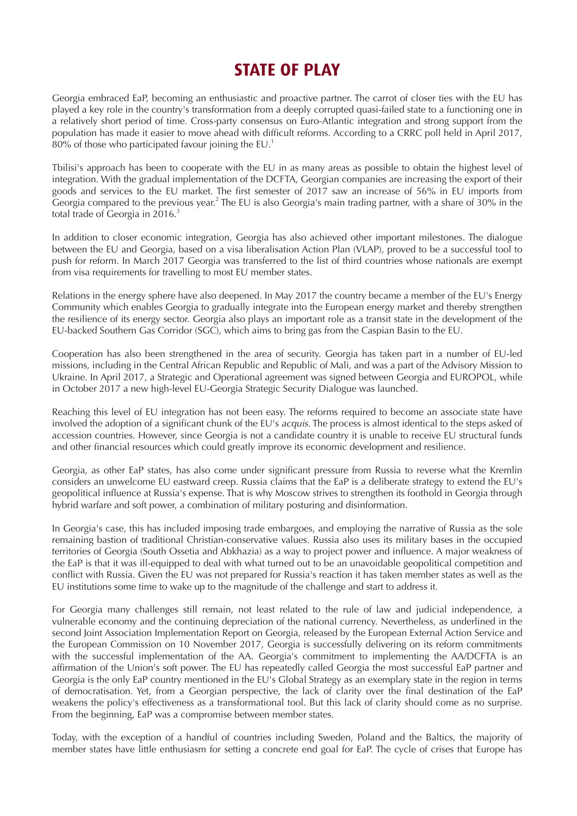## **STATE OF PLAY**

Georgia embraced EaP, becoming an enthusiastic and proactive partner. The carrot of closer ties with the EU has played a key role in the country's transformation from a deeply corrupted quasi-failed state to a functioning one in a relatively short period of time. Cross-party consensus on Euro-Atlantic integration and strong support from the population has made it easier to move ahead with difficult reforms. According to a CRRC poll held in April 2017,  $80\%$  of those who participated favour joining the EU.<sup>1</sup>

Tbilisi's approach has been to cooperate with the EU in as many areas as possible to obtain the highest level of integration. With the gradual implementation of the DCFTA, Georgian companies are increasing the export of their goods and services to the EU market. The first semester of 2017 saw an increase of 56% in EU imports from Georgia compared to the previous year.<sup>2</sup> The EU is also Georgia's main trading partner, with a share of 30% in the total trade of Georgia in  $2016<sup>3</sup>$ 

In addition to closer economic integration, Georgia has also achieved other important milestones. The dialogue between the EU and Georgia, based on a visa liberalisation Action Plan (VLAP), proved to be a successful tool to push for reform. In March 2017 Georgia was transferred to the list of third countries whose nationals are exempt from visa requirements for travelling to most EU member states.

Relations in the energy sphere have also deepened. In May 2017 the country became a member of the EU's Energy Community which enables Georgia to gradually integrate into the European energy market and thereby strengthen the resilience of its energy sector. Georgia also plays an important role as a transit state in the development of the EU-backed Southern Gas Corridor (SGC), which aims to bring gas from the Caspian Basin to the EU.

Cooperation has also been strengthened in the area of security. Georgia has taken part in a number of EU-led missions, including in the Central African Republic and Republic of Mali, and was a part of the Advisory Mission to Ukraine. In April 2017, a Strategic and Operational agreement was signed between Georgia and EUROPOL, while in October 2017 a new high-level EU-Georgia Strategic Security Dialogue was launched.

Reaching this level of EU integration has not been easy. The reforms required to become an associate state have involved the adoption of a significant chunk of the EU's *acquis*. The process is almost identical to the steps asked of accession countries. However, since Georgia is not a candidate country it is unable to receive EU structural funds and other financial resources which could greatly improve its economic development and resilience.

Georgia, as other EaP states, has also come under significant pressure from Russia to reverse what the Kremlin considers an unwelcome EU eastward creep. Russia claims that the EaP is a deliberate strategy to extend the EU's geopolitical influence at Russia's expense. That is why Moscow strives to strengthen its foothold in Georgia through hybrid warfare and soft power, a combination of military posturing and disinformation.

In Georgia's case, this has included imposing trade embargoes, and employing the narrative of Russia as the sole remaining bastion of traditional Christian-conservative values. Russia also uses its military bases in the occupied territories of Georgia (South Ossetia and Abkhazia) as a way to project power and influence. A major weakness of the EaP is that it was ill-equipped to deal with what turned out to be an unavoidable geopolitical competition and conflict with Russia. Given the EU was not prepared for Russia's reaction it has taken member states as well as the EU institutions some time to wake up to the magnitude of the challenge and start to address it.

For Georgia many challenges still remain, not least related to the rule of law and judicial independence, a vulnerable economy and the continuing depreciation of the national currency. Nevertheless, as underlined in the second Joint Association Implementation Report on Georgia, released by the European External Action Service and the European Commission on 10 November 2017, Georgia is successfully delivering on its reform commitments with the successful implementation of the AA. Georgia's commitment to implementing the AA/DCFTA is an affirmation of the Union's soft power. The EU has repeatedly called Georgia the most successful EaP partner and Georgia is the only EaP country mentioned in the EU's Global Strategy as an exemplary state in the region in terms of democratisation. Yet, from a Georgian perspective, the lack of clarity over the final destination of the EaP weakens the policy's effectiveness as a transformational tool. But this lack of clarity should come as no surprise. From the beginning, EaP was a compromise between member states.

Today, with the exception of a handful of countries including Sweden, Poland and the Baltics, the majority of member states have little enthusiasm for setting a concrete end goal for EaP. The cycle of crises that Europe has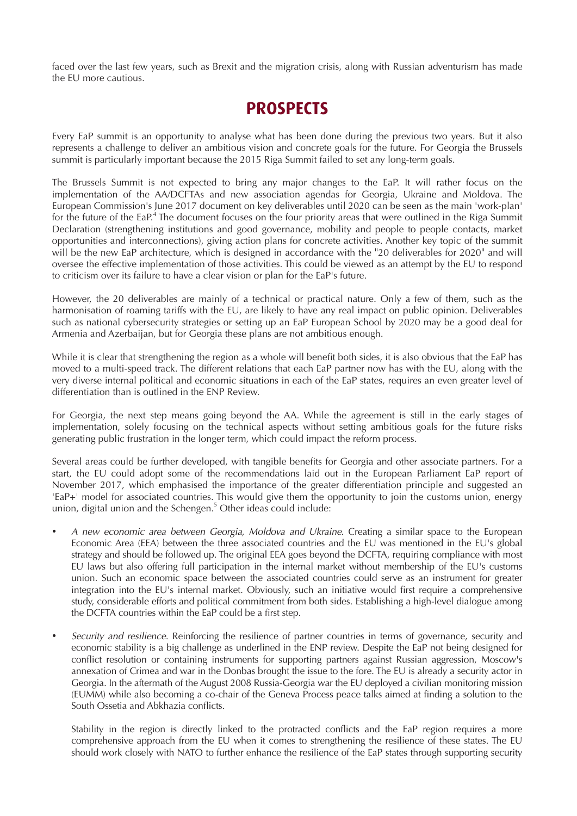faced over the last few years, such as Brexit and the migration crisis, along with Russian adventurism has made the EU more cautious.

## **PROSPECTS**

Every EaP summit is an opportunity to analyse what has been done during the previous two years. But it also represents a challenge to deliver an ambitious vision and concrete goals for the future. For Georgia the Brussels summit is particularly important because the 2015 Riga Summit failed to set any long-term goals.

The Brussels Summit is not expected to bring any major changes to the EaP. It will rather focus on the implementation of the AA/DCFTAs and new association agendas for Georgia, Ukraine and Moldova. The European Commission's June 2017 document on key deliverables until 2020 can be seen as the main 'work-plan' for the future of the EaP.<sup>4</sup> The document focuses on the four priority areas that were outlined in the Riga Summit Declaration (strengthening institutions and good governance, mobility and people to people contacts, market opportunities and interconnections), giving action plans for concrete activities. Another key topic of the summit will be the new EaP architecture, which is designed in accordance with the "20 deliverables for 2020" and will oversee the effective implementation of those activities. This could be viewed as an attempt by the EU to respond to criticism over its failure to have a clear vision or plan for the EaP's future.

However, the 20 deliverables are mainly of a technical or practical nature. Only a few of them, such as the harmonisation of roaming tariffs with the EU, are likely to have any real impact on public opinion. Deliverables such as national cybersecurity strategies or setting up an EaP European School by 2020 may be a good deal for Armenia and Azerbaijan, but for Georgia these plans are not ambitious enough.

While it is clear that strengthening the region as a whole will benefit both sides, it is also obvious that the EaP has moved to a multi-speed track. The different relations that each EaP partner now has with the EU, along with the very diverse internal political and economic situations in each of the EaP states, requires an even greater level of differentiation than is outlined in the ENP Review.

For Georgia, the next step means going beyond the AA. While the agreement is still in the early stages of implementation, solely focusing on the technical aspects without setting ambitious goals for the future risks generating public frustration in the longer term, which could impact the reform process.

Several areas could be further developed, with tangible benefits for Georgia and other associate partners. For a start, the EU could adopt some of the recommendations laid out in the European Parliament EaP report of November 2017, which emphasised the importance of the greater differentiation principle and suggested an 'EaP+' model for associated countries. This would give them the opportunity to join the customs union, energy union, digital union and the Schengen. $5$  Other ideas could include:

- A new economic area between Georgia, Moldova and Ukraine. Creating a similar space to the European Economic Area (EEA) between the three associated countries and the EU was mentioned in the EU's global strategy and should be followed up. The original EEA goes beyond the DCFTA, requiring compliance with most EU laws but also offering full participation in the internal market without membership of the EU's customs union. Such an economic space between the associated countries could serve as an instrument for greater integration into the EU's internal market. Obviously, such an initiative would first require a comprehensive study, considerable efforts and political commitment from both sides. Establishing a high-level dialogue among the DCFTA countries within the EaP could be a first step.
- Security and resilience. Reinforcing the resilience of partner countries in terms of governance, security and economic stability is a big challenge as underlined in the ENP review. Despite the EaP not being designed for conflict resolution or containing instruments for supporting partners against Russian aggression, Moscow's annexation of Crimea and war in the Donbas brought the issue to the fore. The EU is already a security actor in Georgia. In the aftermath of the August 2008 Russia-Georgia war the EU deployed a civilian monitoring mission (EUMM) while also becoming a co-chair of the Geneva Process peace talks aimed at finding a solution to the South Ossetia and Abkhazia conflicts.

Stability in the region is directly linked to the protracted conflicts and the EaP region requires a more comprehensive approach from the EU when it comes to strengthening the resilience of these states. The EU should work closely with NATO to further enhance the resilience of the EaP states through supporting security